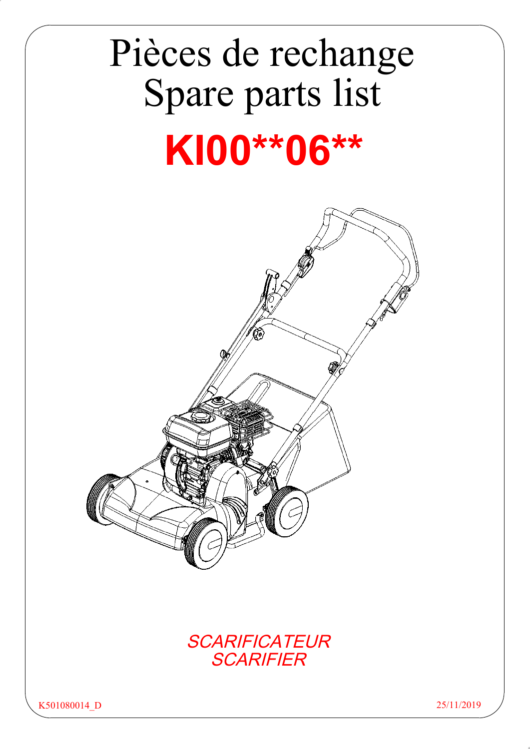## Pièces de rechange Spare parts list K100\*\*06\*\*



## **SCARIFICATEUR SCARIFIER**

25/11/2019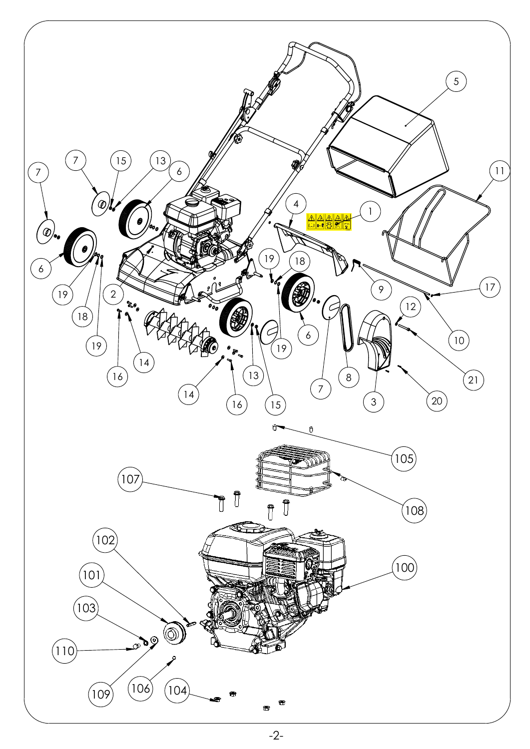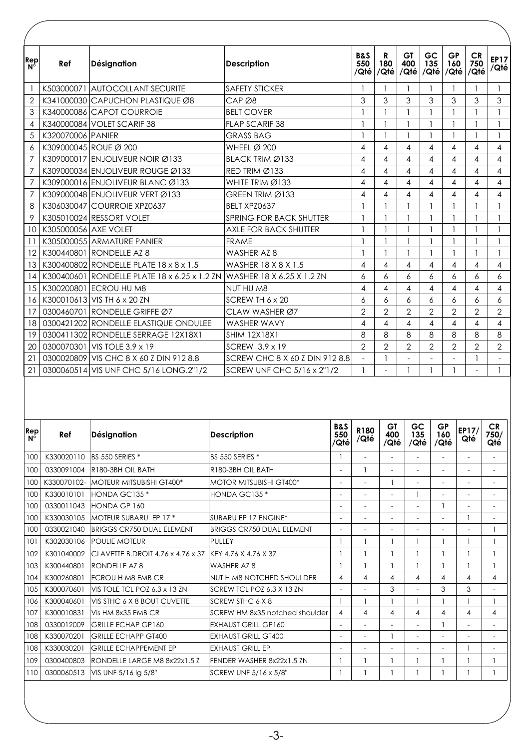| Rep<br>$N^{\circ}$ | Ref                  | Désignation                                   | <b>Description</b>             | <b>B&amp;S</b><br>550<br>/Qté | R<br>180<br>/Qté         | <b>GT</b><br>400<br>$/$ Qté | GC<br>135<br>/Qté        | <b>GP</b><br>160<br> Q   | CR<br>750<br>/Qté | <b>EP17</b><br>/Qté |
|--------------------|----------------------|-----------------------------------------------|--------------------------------|-------------------------------|--------------------------|-----------------------------|--------------------------|--------------------------|-------------------|---------------------|
|                    |                      | K503000071 AUTOCOLLANT SECURITE               | <b>SAFETY STICKER</b>          |                               | 1                        |                             |                          |                          |                   |                     |
| $\overline{2}$     |                      | K341000030 CAPUCHON PLASTIQUE Ø8              | CAP <sub>Ø8</sub>              | 3                             | 3                        | 3                           | 3                        | 3                        | 3                 | 3                   |
| 3                  |                      | K340000086 CAPOT COURROIE                     | <b>BELT COVER</b>              |                               |                          |                             |                          |                          |                   |                     |
| 4                  |                      | K340000084 VOLET SCARIF 38                    | <b>FLAP SCARIF 38</b>          | $\mathbf{1}$                  |                          |                             |                          | $\mathbf{1}$             | $\mathbf{1}$      | $\mathbf{1}$        |
| 5                  | K320070006 PANIER    |                                               | <b>GRASS BAG</b>               | 1                             |                          |                             |                          |                          |                   |                     |
| 6                  |                      | K309000045 ROUE Ø 200                         | <b>WHEEL Ø 200</b>             | 4                             | 4                        | 4                           | 4                        | 4                        | 4                 | 4                   |
| $\overline{7}$     |                      | K309000017 ENJOLIVEUR NOIR Ø133               | BLACK TRIM Ø133                | 4                             | 4                        | 4                           | 4                        | 4                        | 4                 | 4                   |
| $\overline{7}$     |                      | K309000034 ENJOLIVEUR ROUGE Ø133              | RED TRIM Ø133                  | 4                             | 4                        | 4                           | 4                        | 4                        | 4                 | 4                   |
| $\overline{7}$     |                      | K309000016 ENJOLIVEUR BLANC $\varnothing$ 133 | WHITE TRIM Ø133                | 4                             | 4                        | 4                           | 4                        | 4                        | 4                 | 4                   |
| 7                  |                      | K309000048 ENJOLIVEUR VERT $\varnothing$ 133  | GREEN TRIM Ø133                | 4                             | 4                        | 4                           | 4                        | 4                        | 4                 | 4                   |
| 8                  |                      | K306030047 COURROIE XPZ0637                   | BELT XPZ0637                   | 1                             |                          |                             |                          |                          |                   |                     |
| 9                  |                      | K305010024 RESSORT VOLET                      | SPRING FOR BACK SHUTTER        | 1                             | $\overline{\phantom{a}}$ |                             |                          |                          |                   |                     |
| 10                 | K305000056 AXE VOLET |                                               | <b>AXLE FOR BACK SHUTTER</b>   | 1                             | 1                        | 1                           | $\mathbf{1}$             |                          | $\mathbf{1}$      |                     |
| 11                 |                      | K305000055 ARMATURE PANIER                    | <b>FRAME</b>                   | 1                             | 1                        | 1                           | $\mathbf{1}$             |                          |                   |                     |
| 12                 |                      | K300440801 RONDELLE AZ 8                      | WASHER AZ 8                    | 1                             | 1                        | 1                           | $\mathbf{1}$             | $\mathbf{1}$             |                   | 1                   |
| 13                 |                      | K300400802 RONDELLE PLATE 18 x 8 x 1.5        | WASHER 18 X 8 X 1.5            | 4                             | 4                        | 4                           | 4                        | 4                        | 4                 | 4                   |
| 14                 |                      | K300400601 RONDELLE PLATE 18 x 6.25 x 1.2 ZN  | WASHER 18 X 6.25 X 1.2 ZN      | 6                             | 6                        | 6                           | 6                        | 6                        | 6                 | 6                   |
| 15                 |                      | K300200801 ECROU HU M8                        | NUT HU M8                      | 4                             | 4                        | 4                           | 4                        | 4                        | 4                 | 4                   |
| 16                 |                      | K300010613 VIS TH 6 x 20 ZN                   | SCREW TH 6 x 20                | 6                             | 6                        | 6                           | 6                        | 6                        | 6                 | 6                   |
| 17                 |                      | 0300460701 RONDELLE GRIFFE Ø7                 | CLAW WASHER Ø7                 | $\overline{2}$                | $\overline{2}$           | $\overline{2}$              | $\overline{2}$           | $\overline{2}$           | $\overline{2}$    | $\overline{2}$      |
| 18                 |                      | 0300421202 RONDELLE ELASTIQUE ONDULEE         | <b>WASHER WAVY</b>             | 4                             | 4                        | 4                           | 4                        | 4                        | 4                 | 4                   |
| 19                 |                      | 0300411302 RONDELLE SERRAGE 12X18X1           | <b>SHIM 12X18X1</b>            | 8                             | 8                        | 8                           | 8                        | 8                        | 8                 | 8                   |
| 20                 |                      | 0300070301 VIS TOLE 3.9 x 19                  | SCREW 3.9 x 19                 | $\overline{2}$                | $\overline{2}$           | $\overline{2}$              | $\overline{2}$           | $\overline{2}$           | $\overline{2}$    | $\overline{2}$      |
| 21                 |                      | 0300020809 VIS CHC 8 X 60 Z DIN 912 8.8       | SCREW CHC 8 X 60 Z DIN 912 8.8 | $\overline{\phantom{a}}$      |                          | $\overline{\phantom{a}}$    | $\overline{\phantom{a}}$ | $\overline{\phantom{a}}$ |                   |                     |
| 21                 |                      | 0300060514 VIS UNF CHC 5/16 LONG.2"1/2        | SCREW UNF CHC 5/16 x 2"1/2     |                               |                          |                             | 1                        |                          |                   |                     |

| Rep<br>$N^{\circ}$ | Ref         | Désignation                       | <b>Description</b>               | <b>B&amp;S</b><br>550<br>/Qté | R <sub>180</sub><br>/Qté | GT<br>400<br>/Qté | GC<br>135<br>/Qté | <b>GP</b><br>160<br>/Qté | EP17/<br>Qté             | <b>CR</b><br>750/<br>Qté |
|--------------------|-------------|-----------------------------------|----------------------------------|-------------------------------|--------------------------|-------------------|-------------------|--------------------------|--------------------------|--------------------------|
| 100                | K330020110  | <b>BS 550 SERIES *</b>            | BS 550 SERIES *                  |                               |                          |                   |                   |                          |                          |                          |
| 100                | 0330091004  | IR180-3BH OIL BATH                | R180-3BH OIL BATH                | $\overline{\phantom{a}}$      |                          |                   |                   |                          |                          |                          |
| 100                | K330070102- | Imoteur mitsubishi gt400*         | <b>MOTOR MITSUBISHI GT400*</b>   | $\overline{\phantom{a}}$      |                          |                   |                   |                          |                          |                          |
| 100                | K330010101  | HONDA GC135 *                     | HONDA GC135*                     | $\overline{\phantom{a}}$      |                          | $\overline{a}$    |                   |                          | $\overline{\phantom{a}}$ |                          |
| 100                | 0330011043  | IHONDA GP 160                     |                                  | $\overline{\phantom{a}}$      |                          | $\overline{a}$    | $\overline{a}$    |                          |                          |                          |
| 100                | K330030105  | Imoteur subaru ep 17 *            | SUBARU EP 17 ENGINE*             |                               |                          |                   |                   |                          |                          |                          |
| 100                | 0330021040  | <b>BRIGGS CR750 DUAL ELEMENT</b>  | <b>BRIGGS CR750 DUAL ELEMENT</b> | $\overline{\phantom{a}}$      |                          |                   |                   |                          |                          |                          |
| 101                | K302030106  | Ipoulie moteur                    | PULLEY                           |                               |                          |                   |                   |                          |                          |                          |
| 102                | K301040002  | CLAVETTE B.DROIT 4.76 x 4.76 x 37 | IKEY 4.76 X 4.76 X 37            |                               |                          |                   |                   |                          |                          |                          |
| 103                | K300440801  | RONDELLE AZ 8                     | WASHER AZ 8                      |                               |                          |                   |                   |                          |                          |                          |
| 104                | K300260801  | IECROU H M8 EMB CR                | NUT H M8 NOTCHED SHOULDER        | 4                             | 4                        | 4                 | 4                 | 4                        | 4                        | 4                        |
| 105                | K300070601  | VIS TOLE TCL POZ 6.3 x 13 ZN      | SCREW TCL POZ 6.3 X 13 ZN        | $\overline{\phantom{a}}$      |                          | 3                 |                   | 3                        | 3                        |                          |
| 106                | K300040601  | VIS STHC 6 X 8 BOUT CUVETTE       | <b>SCREW STHC 6 X 8</b>          |                               |                          |                   |                   |                          |                          |                          |
| 107                | K300010831  | Vis HM 8x35 EMB CR                | SCREW HM 8x35 notched shoulder   | 4                             | 4                        | 4                 | 4                 | 4                        | 4                        | 4                        |
| 108                | 0330012009  | <b>GRILLE ECHAP GP160</b>         | <b>EXHAUST GRILL GP160</b>       |                               |                          |                   |                   |                          |                          |                          |
| 108                | K330070201  | <b>GRILLE ECHAPP GT400</b>        | <b>EXHAUST GRILL GT400</b>       | $\overline{\phantom{a}}$      |                          |                   |                   |                          |                          |                          |
| 108                | K330030201  | <b>GRILLE ECHAPPEMENT EP</b>      | <b>EXHAUST GRILL EP</b>          | $\overline{\phantom{a}}$      |                          | $\overline{a}$    | $\overline{a}$    | $\overline{\phantom{0}}$ |                          |                          |
| 109                | 0300400803  | RONDELLE LARGE M8 8x22x1.5 Z      | FENDER WASHER 8x22x1.5 ZN        |                               |                          |                   |                   |                          |                          |                          |
| 110                | 0300060513  | VIS UNF 5/16 lg 5/8"              | SCREW UNF 5/16 x 5/8"            |                               |                          |                   |                   |                          |                          |                          |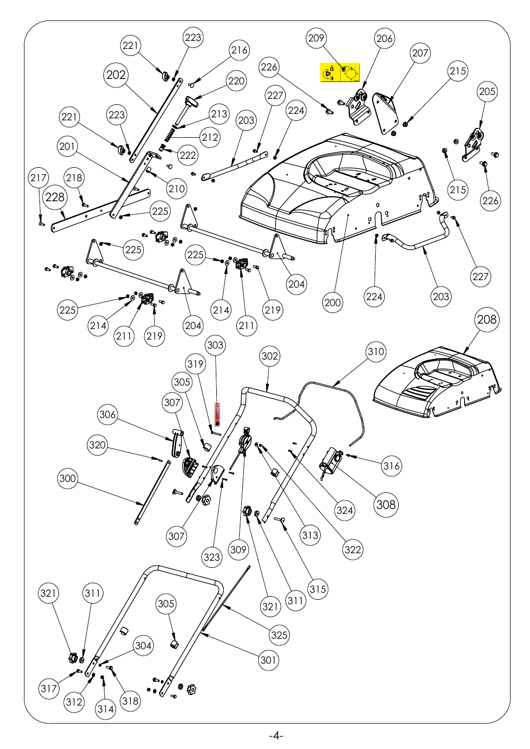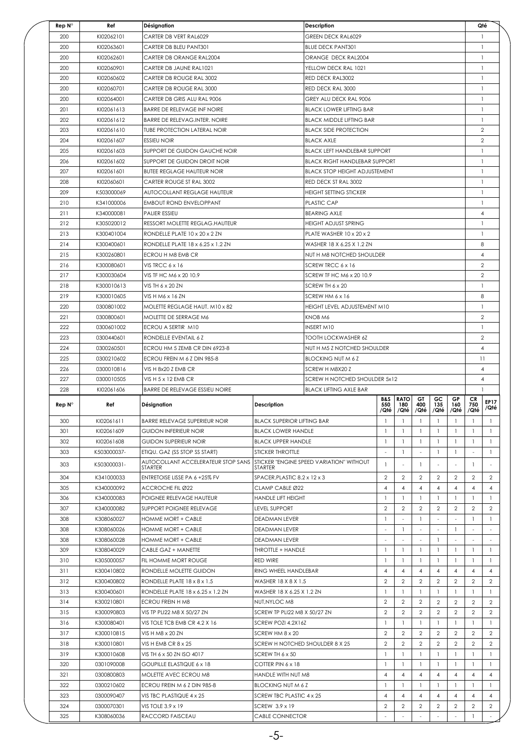| $Rep N^{\circ}$ | Ref                                    | Désignation                                                         |                                          | Description                              |                                |                                    |                   |                          |                                |                              | Qté                              |  |
|-----------------|----------------------------------------|---------------------------------------------------------------------|------------------------------------------|------------------------------------------|--------------------------------|------------------------------------|-------------------|--------------------------|--------------------------------|------------------------------|----------------------------------|--|
| 200             | KI02062101                             | CARTER DB VERT RAL6029                                              |                                          | GREEN DECK RAL6029                       |                                |                                    |                   |                          |                                |                              | -1                               |  |
| 200             | KI02063601                             | CARTER DB BLEU PANT301                                              |                                          | <b>BLUE DECK PANT301</b>                 |                                |                                    |                   |                          |                                |                              | $\mathbf{1}$                     |  |
| 200             | CARTER DB ORANGE RAL2004<br>KI02062601 |                                                                     |                                          | ORANGE DECK RAL2004                      |                                |                                    |                   |                          |                                |                              | $\mathbf{1}$                     |  |
| 200             | KI02060901<br>CARTER DB JAUNE RAL1021  |                                                                     |                                          | YELLOW DECK RAL 1021                     |                                |                                    |                   |                          |                                |                              | $\mathbf{1}$                     |  |
| 200             | KI02060602                             | CARTER DB ROUGE RAL 3002                                            | RED DECK RAL3002                         |                                          |                                |                                    |                   |                          |                                | $\mathbf{1}$                 |                                  |  |
| 200             | KI02060701                             | CARTER DB ROUGE RAL 3000                                            |                                          | RED DECK RAL 3000                        |                                |                                    |                   |                          |                                | $\mathbf{1}$                 |                                  |  |
| 200             | KI02064001                             | CARTER DB GRIS ALU RAL 9006                                         |                                          | GREY ALU DECK RAL 9006                   |                                |                                    |                   |                          |                                |                              | $\mathbf{1}$                     |  |
| 201             | KI02061613                             | <b>BARRE DE RELEVAGE INF NOIRE</b>                                  |                                          | <b>BLACK LOWER LIFTING BAR</b>           |                                |                                    |                   |                          |                                | $\mathbf{1}$                 |                                  |  |
| 202             | KI02061612                             | <b>BARRE DE RELEVAG.INTER. NOIRE</b>                                |                                          | <b>BLACK MIDDLE LIFTING BAR</b>          |                                |                                    |                   |                          |                                |                              | $\mathbf{1}$                     |  |
| 203             | KI02061610                             | <b>TUBE PROTECTION LATERAL NOIR</b>                                 |                                          | <b>BLACK SIDE PROTECTION</b>             |                                |                                    |                   |                          |                                |                              | $\overline{2}$                   |  |
| 204             | KI02061607                             | <b>ESSIEU NOIR</b>                                                  |                                          | <b>BLACK AXLE</b>                        |                                |                                    |                   |                          |                                |                              | $\overline{2}$                   |  |
| 205             | KI02061603                             | SUPPORT DE GUIDON GAUCHE NOIR                                       |                                          | <b>BLACK LEFT HANDLEBAR SUPPORT</b>      |                                |                                    |                   |                          |                                |                              | $\mathbf{1}$                     |  |
| 206             | KI02061602                             | SUPPORT DE GUIDON DROIT NOIR                                        |                                          | <b>BLACK RIGHT HANDLEBAR SUPPORT</b>     |                                |                                    |                   |                          |                                |                              | $\mathbf{1}$                     |  |
| 207             | KI02061601                             | BUTEE REGLAGE HAUTEUR NOIR                                          |                                          | <b>BLACK STOP HEIGHT ADJUSTEMENT</b>     |                                |                                    |                   |                          |                                |                              | $\mathbf{1}$                     |  |
| 208             | KI02060601                             | CARTER ROUGE ST RAL 3002                                            |                                          | RED DECK ST RAL 3002                     |                                |                                    |                   |                          |                                |                              | $\mathbf{1}$                     |  |
| 209             | K503000069                             | AUTOCOLLANT REGLAGE HAUTEUR                                         |                                          | <b>HEIGHT SETTING STICKER</b>            |                                |                                    |                   |                          |                                |                              | $\mathbf{1}$                     |  |
| 210             | K341000006                             | <b>EMBOUT ROND ENVELOPPANT</b>                                      |                                          | <b>PLASTIC CAP</b>                       |                                |                                    |                   |                          |                                |                              | $\mathbf{1}$                     |  |
| 211             | K340000081                             | <b>PALIER ESSIEU</b>                                                |                                          | <b>BEARING AXLE</b>                      |                                |                                    |                   |                          |                                |                              | 4                                |  |
| 212             | K305020012                             | RESSORT MOLETTE REGLAG.HAUTEUR                                      |                                          | <b>HEIGHT ADJUST SPRING</b>              |                                |                                    |                   |                          |                                |                              | $\mathbf{1}$                     |  |
| 213             | K300401004                             | RONDELLE PLATE 10 x 20 x 2 ZN                                       |                                          | PLATE WASHER 10 x 20 x 2                 |                                |                                    |                   |                          |                                |                              | $\mathbf{1}$                     |  |
| 214             | K300400601                             | RONDELLE PLATE 18 x 6.25 x 1.2 ZN                                   |                                          | WASHER 18 X 6.25 X 1.2 ZN                |                                |                                    |                   |                          |                                |                              | 8                                |  |
| 215             | K300260801                             | ECROU H M8 EMB CR                                                   |                                          | NUT H M8 NOTCHED SHOULDER                |                                |                                    |                   |                          |                                |                              | $\overline{4}$                   |  |
| 216             | K300080601                             | VIS TRCC 6 x 16                                                     |                                          | SCREW TRCC 6 x 16                        |                                |                                    |                   |                          |                                |                              | $\overline{2}$                   |  |
| 217             | K300030604                             | VIS TF HC M6 x 20 10.9                                              |                                          | SCREW TF HC M6 x 20 10.9                 |                                |                                    | $\overline{2}$    |                          |                                |                              |                                  |  |
| 218             | K300010613                             | VIS TH 6 x 20 ZN                                                    |                                          | SCREW TH 6 x 20                          |                                |                                    |                   |                          |                                |                              | $\mathbf{1}$                     |  |
| 219             | K300010605                             | VIS H M6 x 16 ZN                                                    |                                          | SCREW HM 6 x 16                          |                                |                                    |                   |                          |                                |                              | 8                                |  |
| 220             | 0300801002                             | MOLETTE REGLAGE HAUT. M10 x 82                                      |                                          | HEIGHT LEVEL ADJUSTEMENT M10             |                                |                                    |                   |                          |                                |                              |                                  |  |
| 221             | 0300800601                             | MOLETTE DE SERRAGE M6                                               |                                          | KNOB M6                                  |                                |                                    |                   |                          |                                | $\overline{2}$               |                                  |  |
| 222             | 0300601002                             | ECROU A SERTIR M10                                                  |                                          | <b>INSERT M10</b>                        |                                |                                    |                   |                          |                                | $\mathbf{1}$                 |                                  |  |
| 223             | 0300440601                             | RONDELLE EVENTAIL 6 Z                                               |                                          | <b>TOOTH LOCKWASHER 6Z</b>               |                                |                                    |                   |                          |                                |                              |                                  |  |
| 224             | 0300260501                             | ECROU HM 5 ZEMB CR DIN 6923-8                                       |                                          | NUT H M5 Z NOTCHED SHOULDER              |                                |                                    |                   |                          |                                |                              | $\overline{2}$<br>$\overline{4}$ |  |
| 225             | 0300210602                             | ECROU FREIN M 6 Z DIN 985-8                                         |                                          | <b>BLOCKING NUT M 6 Z</b>                |                                |                                    |                   |                          |                                |                              | 11                               |  |
| 226             | 0300010816                             |                                                                     |                                          | SCREW H M8X20 Z                          |                                |                                    |                   |                          |                                | $\overline{4}$               |                                  |  |
| 227             | 0300010505                             |                                                                     | VIS H 8x20 Z EMB CR                      |                                          |                                |                                    |                   |                          |                                |                              | $\overline{4}$                   |  |
|                 |                                        | VIS H 5 x 12 EMB CR                                                 |                                          |                                          |                                |                                    |                   |                          |                                | $\mathbf{1}$                 |                                  |  |
|                 |                                        |                                                                     |                                          | SCREW H NOTCHED SHOULDER 5x12            |                                |                                    |                   |                          |                                |                              |                                  |  |
| 228             | KI02061606                             | BARRE DE RELEVAGE ESSIEU NOIRE                                      |                                          | <b>BLACK LIFTING AXLE BAR</b>            |                                |                                    |                   |                          |                                |                              |                                  |  |
| $Rep N^{\circ}$ | Ref                                    | Désignation                                                         | Description                              |                                          | 550<br>/Qté                    | <b>B&amp;S RATO</b><br>180<br>/Qté | GT<br>400<br>/Qté | GC<br>135<br>/Qté        | GP<br>160<br>/Qté              | CR<br>750<br>/Qté            | <b>EP17</b><br>/Qté              |  |
| 300             | KI02061611                             | <b>BARRE RELEVAGE SUPERIEUR NOIR</b>                                | <b>BLACK SUPERIOR LIFTING BAR</b>        |                                          |                                | $\mathbf{1}$                       | $\mathbf{1}$      |                          | $\mathbf{1}$                   |                              | $\mathbf{1}$                     |  |
| 301             | KI02061609                             | <b>GUIDON INFERIEUR NOIR</b>                                        | <b>BLACK LOWER HANDLE</b>                |                                          | $\mathbf{1}$                   | $\mathbf{1}$                       | 1                 | 1                        | $\mathbf{1}$                   | $\overline{1}$               | $\mathbf{1}$                     |  |
|                 |                                        |                                                                     |                                          |                                          | $\overline{1}$                 | $\mathbf{1}$                       | $\mathbf{1}$      | 1                        | $\mathbf{1}$                   | $\overline{1}$               | 1                                |  |
| 302             | KI02061608                             | <b>GUIDON SUPERIEUR NOIR</b>                                        | <b>BLACK UPPER HANDLE</b>                |                                          |                                | $\mathbf{1}$                       |                   | 1                        | $\mathbf{1}$                   |                              | 1                                |  |
| 303<br>303      | K503000037-<br>K503000031-             | ETIQU. GAZ (SS STOP SS START)<br>AUTOCOLLANT ACCELERATEUR STOP SANS | <b>STICKER THROTTLE</b>                  | STICKER "ENGINE SPEED VARIATION" WITHOUT |                                | ÷,                                 | $\mathbf{1}$      | $\overline{\phantom{a}}$ |                                | -1                           | $\sim$                           |  |
| 304             | K341000033                             | STARTER<br>ENTRETOISE LISSE PA 6 +25% FV                            | STARTER<br>SPACER.PLASTIC 8.2 x 12 x 3   |                                          | 2                              | $\overline{2}$                     | $\overline{2}$    | 2                        | $\overline{2}$                 | $\overline{2}$               | $\overline{2}$                   |  |
|                 |                                        |                                                                     |                                          |                                          | $\overline{4}$                 | $\overline{4}$                     | 4                 |                          | $\overline{4}$                 | 4                            | 4                                |  |
| 305<br>306      | K340000092<br>K340000083               | <b>ACCROCHE FIL Ø22</b>                                             | CLAMP CABLE Ø22<br>HANDLE LIFT HEIGHT    |                                          | $\mathbf{1}$                   | $\mathbf{1}$                       | $\mathbf{1}$      | 4<br>1                   | $\mathbf{1}$                   | $\mathbf{1}$                 | $\mathbf{1}$                     |  |
| 307             | K340000082                             | POIGNEE RELEVAGE HAUTEUR<br>SUPPORT POIGNEE RELEVAGE                | <b>LEVEL SUPPORT</b>                     |                                          | $\overline{2}$                 | $\overline{2}$                     | $\overline{2}$    | $\overline{2}$           | $\overline{2}$                 | $\overline{2}$               | $\overline{2}$                   |  |
|                 |                                        |                                                                     |                                          |                                          | $\mathbf{1}$                   |                                    | $\mathbf{1}$      |                          |                                | $\mathbf{1}$                 | $\mathbf{1}$                     |  |
| 308             | K308060027                             | HOMME MORT + CABLE                                                  | DEADMAN LEVER                            |                                          |                                | $\mathbf{1}$                       |                   |                          | $\overline{1}$                 |                              |                                  |  |
| 308             | K308060026                             | <b>HOMME MORT + CABLE</b>                                           | DEADMAN LEVER                            |                                          | $\sim$                         |                                    | $\sim$            | -1                       |                                |                              |                                  |  |
| 308             | K308060028                             | HOMME MORT + CABLE                                                  | DEADMAN LEVER                            |                                          |                                | $\mathbf{1}$                       | $\mathbf{1}$      | $\mathbf{1}$             |                                |                              | $\mathbf{1}$                     |  |
| 309             | K308040029                             | CABLE GAZ + MANETTE                                                 | <b>THROTTLE + HANDLE</b>                 |                                          | $\mathbf{1}$<br>$\mathbf{1}$   | $\mathbf{1}$                       | $\mathbf{1}$      | -1                       | $\overline{1}$<br>$\mathbf{1}$ | $\mathbf{1}$<br>$\mathbf{1}$ | $\mathbf{1}$                     |  |
| 310             | K305000057                             | FIL HOMME MORT ROUGE                                                | RED WIRE                                 |                                          |                                |                                    |                   |                          |                                |                              |                                  |  |
| 311             | K300410802                             | RONDELLE MOLETTE GUIDON                                             | RING WHEEL HANDLEBAR                     |                                          | $\overline{4}$                 | 4                                  | 4                 | 4                        | $\overline{4}$                 | 4                            | $\overline{4}$                   |  |
| 312             | K300400802                             | RONDELLE PLATE 18 x 8 x 1.5                                         | WASHER 18 X 8 X 1.5                      |                                          | $\overline{2}$                 | 2                                  | $\overline{2}$    | 2                        | $\overline{2}$                 | $\overline{2}$               | $\overline{2}$                   |  |
| 313             | K300400601                             | RONDELLE PLATE 18 x 6.25 x 1.2 ZN                                   | WASHER 18 X 6.25 X 1.2 ZN                |                                          | -1                             | $\mathbf{1}$                       | 1                 |                          | -1                             |                              | 1                                |  |
| 314             | K300210801                             | ECROU FREIN H M8                                                    | NUT,NYLOC M8                             |                                          | $\overline{2}$                 | $\overline{2}$                     | $\overline{2}$    | $\overline{2}$           | $\overline{2}$                 | $\overline{2}$               | 2                                |  |
| 315             | K300090803                             | VIS TP PLI22 M8 X 50/27 ZN                                          | SCREW TP PLI22 M8 X 50/27 ZN             |                                          | $\overline{2}$<br>$\mathbf{1}$ | 2<br>-1                            | $\overline{2}$    | $\overline{2}$           | $\overline{2}$<br>-1           | $\overline{2}$<br>-1         | $\overline{2}$                   |  |
| 316             | K300080401                             | VIS TOLE TCB EMB CR 4.2 X 16                                        | SCREW POZI 4.2X16Z                       |                                          |                                |                                    | $\mathbf{1}$      | 1                        |                                |                              | 1                                |  |
| 317             | K300010815                             | VIS H M8 x 20 ZN                                                    | SCREW HM 8 x 20                          |                                          | $\overline{2}$                 | $\overline{2}$                     | $\overline{2}$    | 2                        | $\overline{2}$                 | $\overline{2}$               | $\overline{2}$                   |  |
| 318             | K300010801                             | VIS H EMB CR 8 x 25                                                 |                                          | SCREW H NOTCHED SHOULDER 8 X 25          | $\overline{2}$                 | 2                                  | $\overline{2}$    | 2                        | $\overline{2}$                 | $\overline{2}$               | $\overline{2}$                   |  |
| 319             | K300010608                             | VIS TH 6 x 50 ZN ISO 4017                                           | SCREW TH 6 x 50                          |                                          | $\mathbf{1}$                   | $\mathbf{1}$                       | $\mathbf{1}$      | 1                        | $\mathbf{1}$                   | -1                           | $\mathbf{1}$                     |  |
| 320             | 0301090008                             | GOUPILLE ELASTIQUE 6 x 18                                           | COTTER PIN 6 x 18                        |                                          | $\mathbf{1}$                   | 1                                  | $\mathbf{1}$      | -1                       | $\mathbf{1}$                   | -1                           | $\mathbf{1}$                     |  |
| 321             | 0300800803                             | MOLETTE AVEC ECROU M8                                               | HANDLE WITH NUT M8                       |                                          | $\overline{4}$                 | 4                                  | $\overline{4}$    | 4                        | $\overline{4}$                 | 4                            | 4                                |  |
| 322             | 0300210602                             | ECROU FREIN M 6 Z DIN 985-8                                         | <b>BLOCKING NUT M 6 Z</b>                |                                          | -1                             | 1                                  | 1                 |                          | -1                             |                              | $\mathbf{1}$                     |  |
| 323             | 0300090407                             | VIS TBC PLASTIQUE 4 x 25                                            | SCREW TBC PLASTIC 4 x 25                 |                                          | $\overline{4}$                 | $\overline{4}$                     | $\overline{4}$    | 4                        | $\overline{4}$                 | 4                            | 4                                |  |
| 324<br>325      | 0300070301<br>K308060036               | VIS TOLE 3.9 x 19<br>RACCORD FAISCEAU                               | SCREW 3.9 x 19<br><b>CABLE CONNECTOR</b> |                                          | $\overline{2}$                 | $\overline{2}$                     | $\overline{2}$    | 2                        | $\overline{2}$                 | 2                            | $\overline{2}$                   |  |